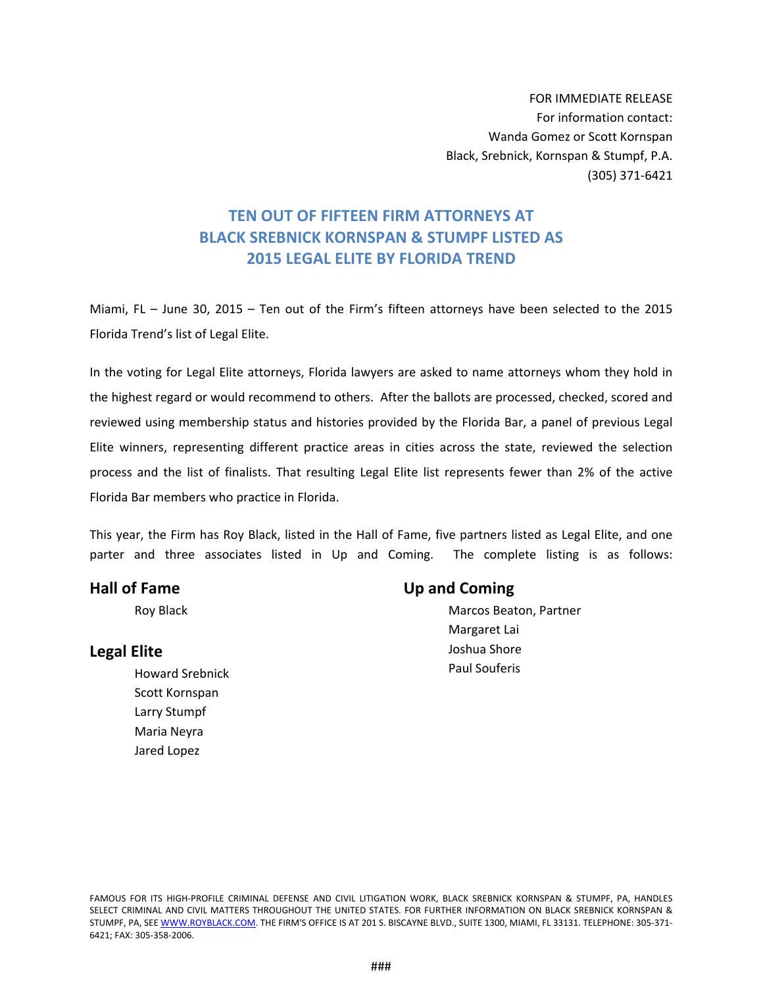FOR IMMEDIATE RELEASE For information contact: Wanda Gomez or Scott Kornspan Black, Srebnick, Kornspan & Stumpf, P.A. (305) 371‐6421

## **TEN OUT OF FIFTEEN FIRM ATTORNEYS AT BLACK SREBNICK KORNSPAN & STUMPF LISTED AS 2015 LEGAL ELITE BY FLORIDA TREND**

Miami, FL – June 30, 2015 – Ten out of the Firm's fifteen attorneys have been selected to the 2015 Florida Trend's list of Legal Elite.

In the voting for Legal Elite attorneys, Florida lawyers are asked to name attorneys whom they hold in the highest regard or would recommend to others. After the ballots are processed, checked, scored and reviewed using membership status and histories provided by the Florida Bar, a panel of previous Legal Elite winners, representing different practice areas in cities across the state, reviewed the selection process and the list of finalists. That resulting Legal Elite list represents fewer than 2% of the active Florida Bar members who practice in Florida.

This year, the Firm has Roy Black, listed in the Hall of Fame, five partners listed as Legal Elite, and one parter and three associates listed in Up and Coming. The complete listing is as follows:

## **Hall of Fame**

Roy Black

## **Legal Elite**

Howard Srebnick Scott Kornspan Larry Stumpf Maria Neyra Jared Lopez

## **Up and Coming**

Marcos Beaton, Partner Margaret Lai Joshua Shore Paul Souferis

FAMOUS FOR ITS HIGH‐PROFILE CRIMINAL DEFENSE AND CIVIL LITIGATION WORK, BLACK SREBNICK KORNSPAN & STUMPF, PA, HANDLES SELECT CRIMINAL AND CIVIL MATTERS THROUGHOUT THE UNITED STATES. FOR FURTHER INFORMATION ON BLACK SREBNICK KORNSPAN & STUMPF, PA, SEE WWW.ROYBLACK.COM. THE FIRM'S OFFICE IS AT 201 S. BISCAYNE BLVD., SUITE 1300, MIAMI, FL 33131. TELEPHONE: 305-371-6421; FAX: 305‐358‐2006.